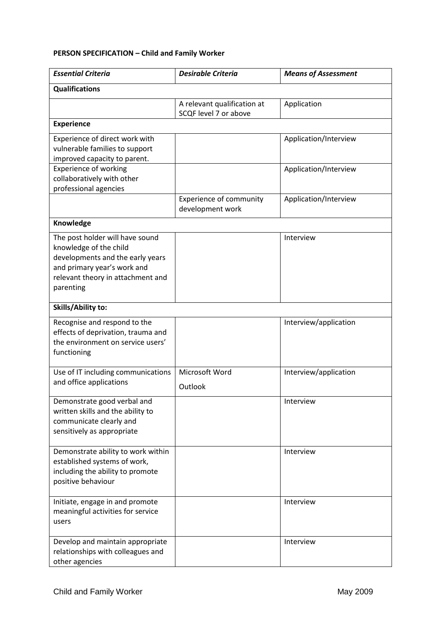## **PERSON SPECIFICATION – Child and Family Worker**

| <b>Essential Criteria</b>                                                                                                                                                      | <b>Desirable Criteria</b>                            | <b>Means of Assessment</b> |
|--------------------------------------------------------------------------------------------------------------------------------------------------------------------------------|------------------------------------------------------|----------------------------|
| <b>Qualifications</b>                                                                                                                                                          |                                                      |                            |
|                                                                                                                                                                                | A relevant qualification at<br>SCQF level 7 or above | Application                |
| <b>Experience</b>                                                                                                                                                              |                                                      |                            |
| Experience of direct work with<br>vulnerable families to support<br>improved capacity to parent.                                                                               |                                                      | Application/Interview      |
| <b>Experience of working</b><br>collaboratively with other<br>professional agencies                                                                                            |                                                      | Application/Interview      |
|                                                                                                                                                                                | <b>Experience of community</b><br>development work   | Application/Interview      |
| Knowledge                                                                                                                                                                      |                                                      |                            |
| The post holder will have sound<br>knowledge of the child<br>developments and the early years<br>and primary year's work and<br>relevant theory in attachment and<br>parenting |                                                      | Interview                  |
| Skills/Ability to:                                                                                                                                                             |                                                      |                            |
| Recognise and respond to the<br>effects of deprivation, trauma and<br>the environment on service users'<br>functioning                                                         |                                                      | Interview/application      |
| Use of IT including communications<br>and office applications                                                                                                                  | Microsoft Word<br>Outlook                            | Interview/application      |
| Demonstrate good verbal and<br>written skills and the ability to<br>communicate clearly and<br>sensitively as appropriate                                                      |                                                      | Interview                  |
| Demonstrate ability to work within<br>established systems of work,<br>including the ability to promote<br>positive behaviour                                                   |                                                      | Interview                  |
| Initiate, engage in and promote<br>meaningful activities for service<br>users                                                                                                  |                                                      | Interview                  |
| Develop and maintain appropriate<br>relationships with colleagues and<br>other agencies                                                                                        |                                                      | Interview                  |